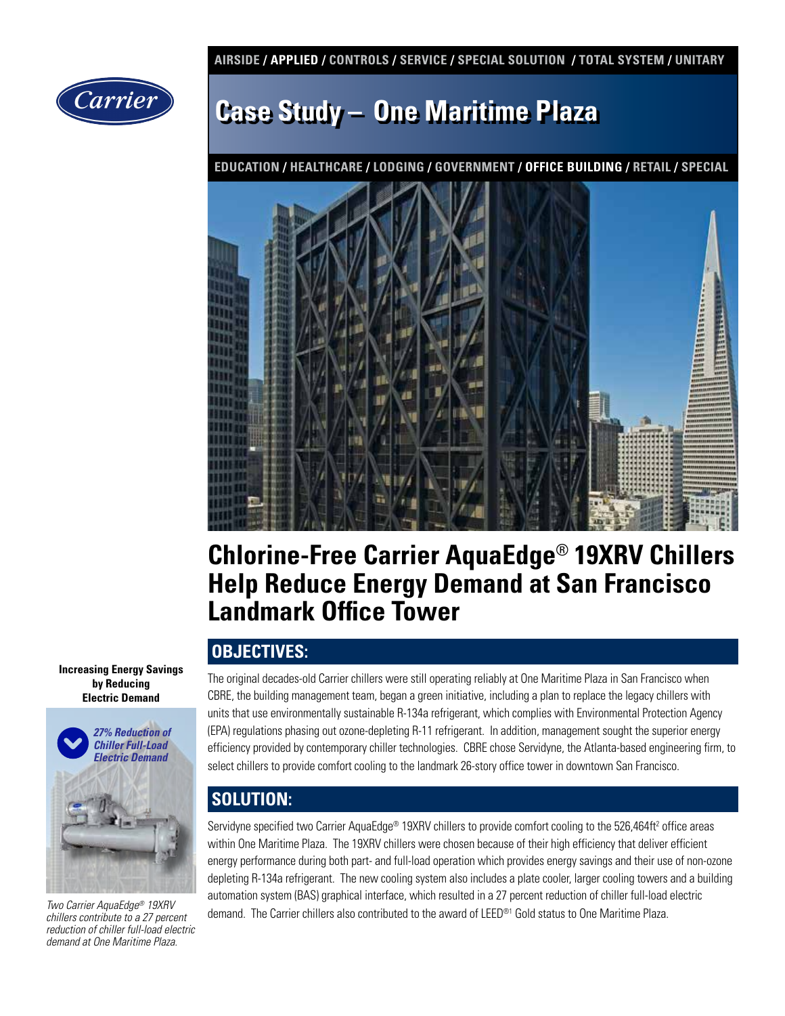**AIRSIDE / APPLIED / CONTROLS / SERVICE / SPECIAL SOLUTION / TOTAL SYSTEM / UNITARY** 



# **Case Study – One Maritime Plaza**

**EDUCATION / HEALTHCARE / LODGING / GOVERNMENT / OFFICE BUILDING / RETAIL / SPECIAL**



## **Chlorine-Free Carrier AquaEdge**® **19XRV Chillers Help Reduce Energy Demand at San Francisco Landmark Office Tower**

### **OBJECTIVES:**

The original decades-old Carrier chillers were still operating reliably at One Maritime Plaza in San Francisco when CBRE, the building management team, began a green initiative, including a plan to replace the legacy chillers with units that use environmentally sustainable R-134a refrigerant, which complies with Environmental Protection Agency (EPA) regulations phasing out ozone-depleting R-11 refrigerant. In addition, management sought the superior energy efficiency provided by contemporary chiller technologies. CBRE chose Servidyne, the Atlanta-based engineering firm, to select chillers to provide comfort cooling to the landmark 26-story office tower in downtown San Francisco.

## **SOLUTION:**

Servidyne specified two Carrier AquaEdge® 19XRV chillers to provide comfort cooling to the 526,464ft² office areas within One Maritime Plaza. The 19XRV chillers were chosen because of their high efficiency that deliver efficient energy performance during both part- and full-load operation which provides energy savings and their use of non-ozone depleting R-134a refrigerant. The new cooling system also includes a plate cooler, larger cooling towers and a building automation system (BAS) graphical interface, which resulted in a 27 percent reduction of chiller full-load electric demand. The Carrier chillers also contributed to the award of LEED®1 Gold status to One Maritime Plaza. *Two Carrier AquaEdge® 19XRV* 

**Increasing Energy Savings by Reducing Electric Demand** 



*chillers contribute to a 27 percent reduction of chiller full-load electric demand at One Maritime Plaza.*